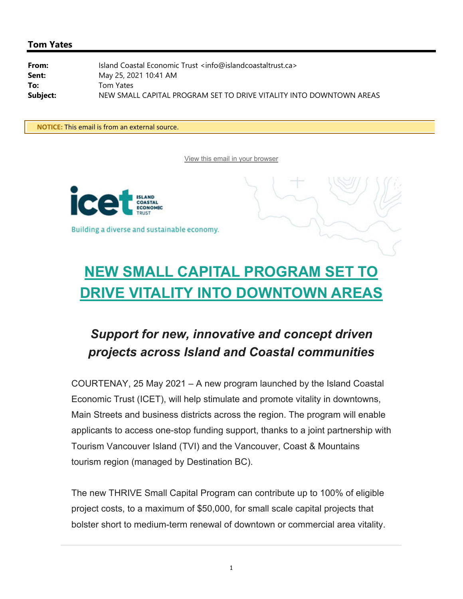## **Tom Yates**

From: Island Coastal Economic Trust <info@islandcoastaltrust.ca> **Sent:** May 25, 2021 10:41 AM **To:** Tom Yates Subject: NEW SMALL CAPITAL PROGRAM SET TO DRIVE VITALITY INTO DOWNTOWN AREAS

**\*\* NOTICE:** This email is from an external source.**\*\***

View this email in your browser





## **NEW SMALL CAPITAL PROGRAM SET TO DRIVE VITALITY INTO DOWNTOWN AREAS**

## *Support for new, innovative and concept driven projects across Island and Coastal communities*

COURTENAY, 25 May 2021 – A new program launched by the Island Coastal Economic Trust (ICET), will help stimulate and promote vitality in downtowns, Main Streets and business districts across the region. The program will enable applicants to access one-stop funding support, thanks to a joint partnership with Tourism Vancouver Island (TVI) and the Vancouver, Coast & Mountains tourism region (managed by Destination BC).

The new THRIVE Small Capital Program can contribute up to 100% of eligible project costs, to a maximum of \$50,000, for small scale capital projects that bolster short to medium-term renewal of downtown or commercial area vitality.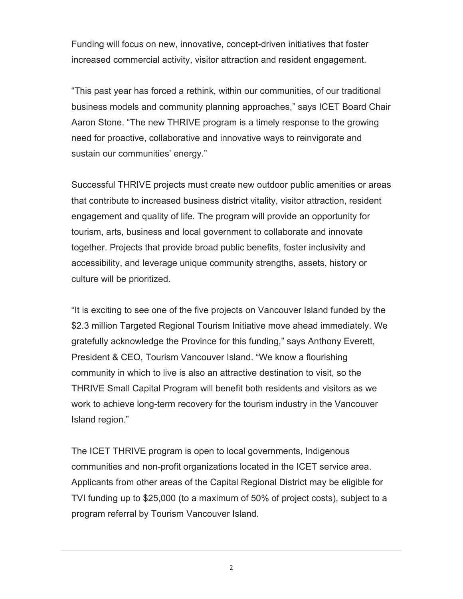Funding will focus on new, innovative, concept-driven initiatives that foster increased commercial activity, visitor attraction and resident engagement.

"This past year has forced a rethink, within our communities, of our traditional business models and community planning approaches," says ICET Board Chair Aaron Stone. "The new THRIVE program is a timely response to the growing need for proactive, collaborative and innovative ways to reinvigorate and sustain our communities' energy."

Successful THRIVE projects must create new outdoor public amenities or areas that contribute to increased business district vitality, visitor attraction, resident engagement and quality of life. The program will provide an opportunity for tourism, arts, business and local government to collaborate and innovate together. Projects that provide broad public benefits, foster inclusivity and accessibility, and leverage unique community strengths, assets, history or culture will be prioritized.

"It is exciting to see one of the five projects on Vancouver Island funded by the \$2.3 million Targeted Regional Tourism Initiative move ahead immediately. We gratefully acknowledge the Province for this funding," says Anthony Everett, President & CEO, Tourism Vancouver Island. "We know a flourishing community in which to live is also an attractive destination to visit, so the THRIVE Small Capital Program will benefit both residents and visitors as we work to achieve long-term recovery for the tourism industry in the Vancouver Island region."

The ICET THRIVE program is open to local governments, Indigenous communities and non-profit organizations located in the ICET service area. Applicants from other areas of the Capital Regional District may be eligible for TVI funding up to \$25,000 (to a maximum of 50% of project costs), subject to a program referral by Tourism Vancouver Island.

2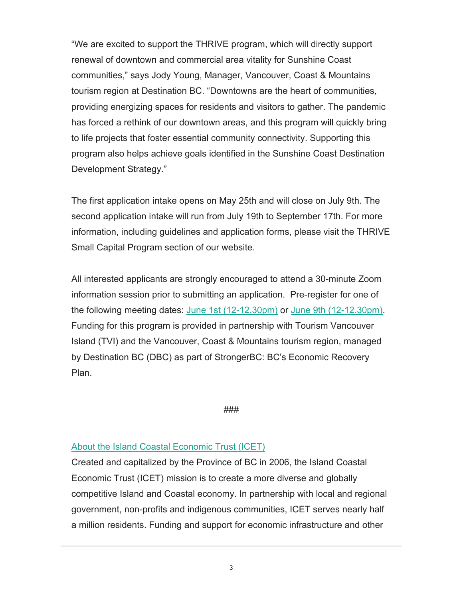"We are excited to support the THRIVE program, which will directly support renewal of downtown and commercial area vitality for Sunshine Coast communities," says Jody Young, Manager, Vancouver, Coast & Mountains tourism region at Destination BC. "Downtowns are the heart of communities, providing energizing spaces for residents and visitors to gather. The pandemic has forced a rethink of our downtown areas, and this program will quickly bring to life projects that foster essential community connectivity. Supporting this program also helps achieve goals identified in the Sunshine Coast Destination Development Strategy."

The first application intake opens on May 25th and will close on July 9th. The second application intake will run from July 19th to September 17th. For more information, including guidelines and application forms, please visit the THRIVE Small Capital Program section of our website.

All interested applicants are strongly encouraged to attend a 30-minute Zoom information session prior to submitting an application. Pre-register for one of the following meeting dates: June 1st (12-12.30pm) or June 9th (12-12.30pm). Funding for this program is provided in partnership with Tourism Vancouver Island (TVI) and the Vancouver, Coast & Mountains tourism region, managed by Destination BC (DBC) as part of StrongerBC: BC's Economic Recovery Plan.

###

## About the Island Coastal Economic Trust (ICET)

Created and capitalized by the Province of BC in 2006, the Island Coastal Economic Trust (ICET) mission is to create a more diverse and globally competitive Island and Coastal economy. In partnership with local and regional government, non-profits and indigenous communities, ICET serves nearly half a million residents. Funding and support for economic infrastructure and other